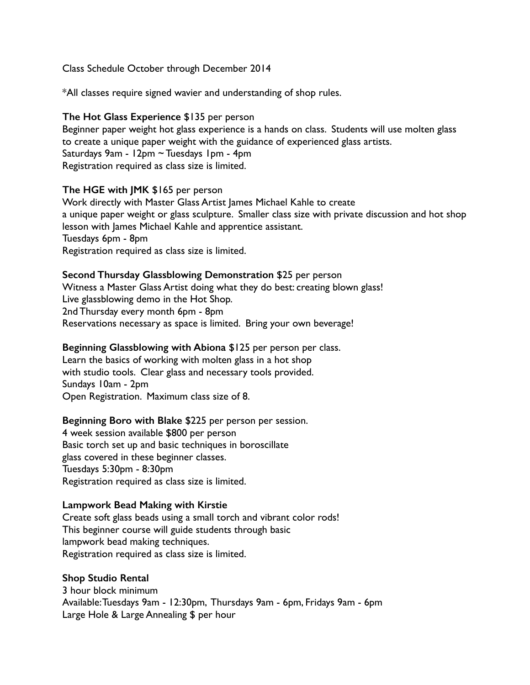Class Schedule October through December 2014

\*All classes require signed wavier and understanding of shop rules.

## **The Hot Glass Experience** \$135 per person

Beginner paper weight hot glass experience is a hands on class. Students will use molten glass to create a unique paper weight with the guidance of experienced glass artists. Saturdays 9am - 12pm ~ Tuesdays 1pm - 4pm Registration required as class size is limited.

### **The HGE with JMK** \$165 per person

Work directly with Master Glass Artist James Michael Kahle to create a unique paper weight or glass sculpture. Smaller class size with private discussion and hot shop lesson with James Michael Kahle and apprentice assistant. Tuesdays 6pm - 8pm Registration required as class size is limited.

### **Second Thursday Glassblowing Demonstration** \$25 per person

Witness a Master Glass Artist doing what they do best: creating blown glass! Live glassblowing demo in the Hot Shop. 2nd Thursday every month 6pm - 8pm Reservations necessary as space is limited. Bring your own beverage!

### **Beginning Glassblowing with Abiona** \$125 per person per class.

Learn the basics of working with molten glass in a hot shop with studio tools. Clear glass and necessary tools provided. Sundays 10am - 2pm Open Registration. Maximum class size of 8.

## **Beginning Boro with Blake** \$225 per person per session.

4 week session available \$800 per person Basic torch set up and basic techniques in boroscillate glass covered in these beginner classes. Tuesdays 5:30pm - 8:30pm Registration required as class size is limited.

### **Lampwork Bead Making with Kirstie**

Create soft glass beads using a small torch and vibrant color rods! This beginner course will guide students through basic lampwork bead making techniques. Registration required as class size is limited.

## **Shop Studio Rental**

3 hour block minimum Available: Tuesdays 9am - 12:30pm, Thursdays 9am - 6pm, Fridays 9am - 6pm Large Hole & Large Annealing \$ per hour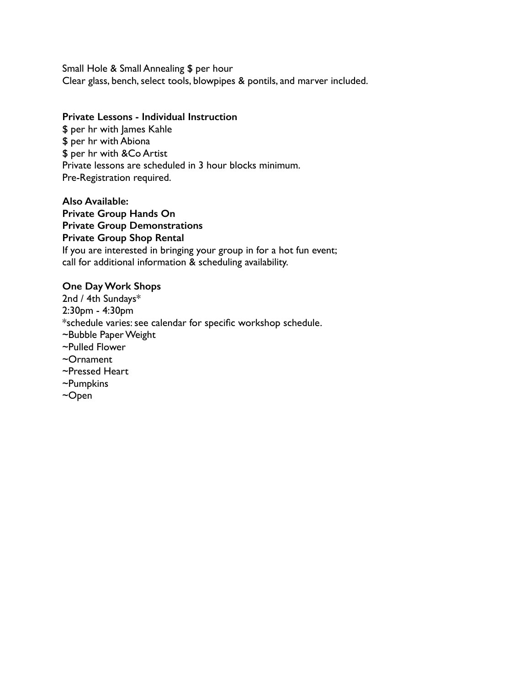Small Hole & Small Annealing \$ per hour Clear glass, bench, select tools, blowpipes & pontils, and marver included.

### **Private Lessons - Individual Instruction**

\$ per hr with James Kahle \$ per hr with Abiona \$ per hr with &Co Artist Private lessons are scheduled in 3 hour blocks minimum. Pre-Registration required.

**Also Available: Private Group Hands On Private Group Demonstrations Private Group Shop Rental**  If you are interested in bringing your group in for a hot fun event; call for additional information & scheduling availability.

## **One Day Work Shops**

2nd / 4th Sundays\* 2:30pm - 4:30pm \*schedule varies: see calendar for specific workshop schedule. ~Bubble Paper Weight ~Pulled Flower ~Ornament ~Pressed Heart ~Pumpkins ~Open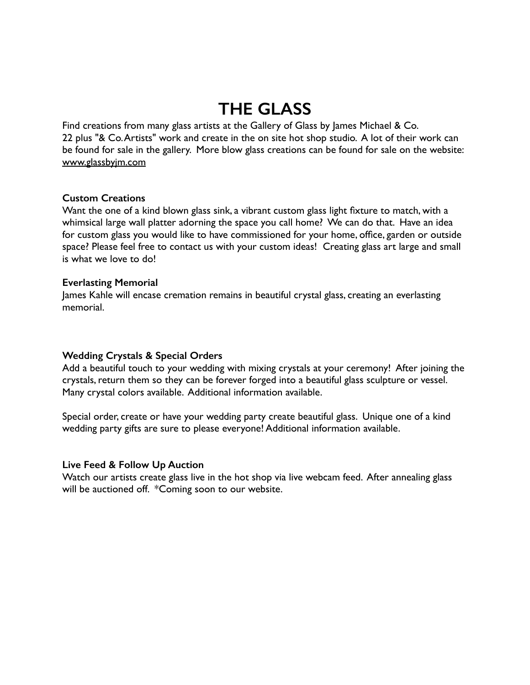# **THE GLASS**

Find creations from many glass artists at the Gallery of Glass by James Michael & Co. 22 plus "& Co. Artists" work and create in the on site hot shop studio. A lot of their work can be found for sale in the gallery. More blow glass creations can be found for sale on the website: [www.glassbyjm.com](http://www.glassbyjm.com)

# **Custom Creations**

Want the one of a kind blown glass sink, a vibrant custom glass light fixture to match, with a whimsical large wall platter adorning the space you call home? We can do that. Have an idea for custom glass you would like to have commissioned for your home, office, garden or outside space? Please feel free to contact us with your custom ideas! Creating glass art large and small is what we love to do!

## **Everlasting Memorial**

James Kahle will encase cremation remains in beautiful crystal glass, creating an everlasting memorial.

## **Wedding Crystals & Special Orders**

Add a beautiful touch to your wedding with mixing crystals at your ceremony! After joining the crystals, return them so they can be forever forged into a beautiful glass sculpture or vessel. Many crystal colors available. Additional information available.

Special order, create or have your wedding party create beautiful glass. Unique one of a kind wedding party gifts are sure to please everyone! Additional information available.

## **Live Feed & Follow Up Auction**

Watch our artists create glass live in the hot shop via live webcam feed. After annealing glass will be auctioned off. \*Coming soon to our website.